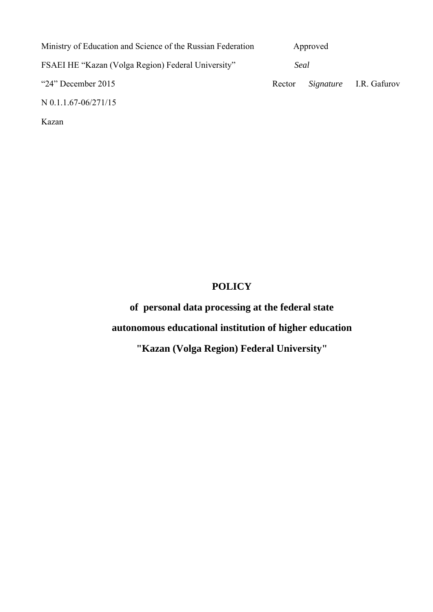| Ministry of Education and Science of the Russian Federation | Approved |  |                               |
|-------------------------------------------------------------|----------|--|-------------------------------|
| FSAEI HE "Kazan (Volga Region) Federal University"          | Seal     |  |                               |
| " $24$ " December 2015                                      | Rector   |  | <i>Signature</i> I.R. Gafurov |
| N 0.1.1.67-06/271/15                                        |          |  |                               |

Kazan

# **POLICY**

**of personal data processing at the federal state** 

**autonomous educational institution of higher education** 

**"Kazan (Volga Region) Federal University"**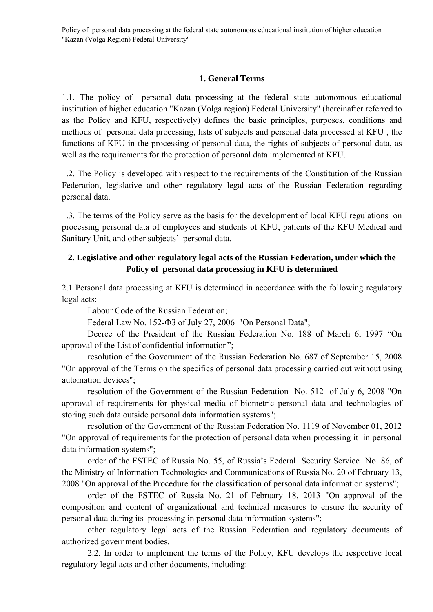## **1. General Terms**

1.1. The policy of personal data processing at the federal state autonomous educational institution of higher education "Kazan (Volga region) Federal University" (hereinafter referred to as the Policy and KFU, respectively) defines the basic principles, purposes, conditions and methods of personal data processing, lists of subjects and personal data processed at KFU , the functions of KFU in the processing of personal data, the rights of subjects of personal data, as well as the requirements for the protection of personal data implemented at KFU.

1.2. The Policy is developed with respect to the requirements of the Constitution of the Russian Federation, legislative and other regulatory legal acts of the Russian Federation regarding personal data.

1.3. The terms of the Policy serve as the basis for the development of local KFU regulations on processing personal data of employees and students of KFU, patients of the KFU Medical and Sanitary Unit, and other subjects' personal data.

# **2. Legislative and other regulatory legal acts of the Russian Federation, under which the Policy of personal data processing in KFU is determined**

2.1 Personal data processing at KFU is determined in accordance with the following regulatory legal acts:

Labour Code of the Russian Federation;

Federal Law No. 152-ФЗ of July 27, 2006 "On Personal Data";

Decree of the President of the Russian Federation No. 188 of March 6, 1997 "On approval of the List of confidential information";

resolution of the Government of the Russian Federation No. 687 of September 15, 2008 "On approval of the Terms on the specifics of personal data processing carried out without using automation devices";

resolution of the Government of the Russian Federation No. 512 of July 6, 2008 "On approval of requirements for physical media of biometric personal data and technologies of storing such data outside personal data information systems";

resolution of the Government of the Russian Federation No. 1119 of November 01, 2012 "On approval of requirements for the protection of personal data when processing it in personal data information systems";

order of the FSTEC of Russia No. 55, of Russia's Federal Security Service No. 86, of the Ministry of Information Technologies and Communications of Russia No. 20 of February 13, 2008 "On approval of the Procedure for the classification of personal data information systems";

order of the FSTEC of Russia No. 21 of February 18, 2013 "On approval of the composition and content of organizational and technical measures to ensure the security of personal data during its processing in personal data information systems";

other regulatory legal acts of the Russian Federation and regulatory documents of authorized government bodies.

2.2. In order to implement the terms of the Policy, KFU develops the respective local regulatory legal acts and other documents, including: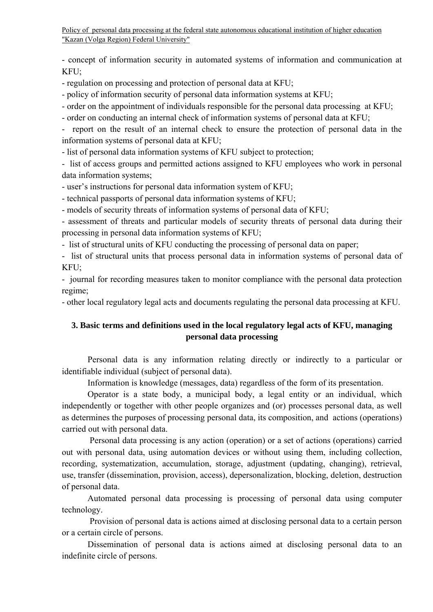- concept of information security in automated systems of information and communication at KFU;

- regulation on processing and protection of personal data at KFU;

- policy of information security of personal data information systems at KFU;

- order on the appointment of individuals responsible for the personal data processing at KFU;

- order on conducting an internal check of information systems of personal data at KFU;

- report on the result of an internal check to ensure the protection of personal data in the information systems of personal data at KFU;

- list of personal data information systems of KFU subject to protection;

- list of access groups and permitted actions assigned to KFU employees who work in personal data information systems;

- user's instructions for personal data information system of KFU;

- technical passports of personal data information systems of KFU;

- models of security threats of information systems of personal data of KFU;

- assessment of threats and particular models of security threats of personal data during their processing in personal data information systems of KFU;

- list of structural units of KFU conducting the processing of personal data on paper;

- list of structural units that process personal data in information systems of personal data of KFU;

- journal for recording measures taken to monitor compliance with the personal data protection regime;

- other local regulatory legal acts and documents regulating the personal data processing at KFU.

### **3. Basic terms and definitions used in the local regulatory legal acts of KFU, managing personal data processing**

Personal data is any information relating directly or indirectly to a particular or identifiable individual (subject of personal data).

Information is knowledge (messages, data) regardless of the form of its presentation.

Operator is a state body, a municipal body, a legal entity or an individual, which independently or together with other people organizes and (or) processes personal data, as well as determines the purposes of processing personal data, its composition, and actions (operations) carried out with personal data.

 Personal data processing is any action (operation) or a set of actions (operations) carried out with personal data, using automation devices or without using them, including collection, recording, systematization, accumulation, storage, adjustment (updating, changing), retrieval, use, transfer (dissemination, provision, access), depersonalization, blocking, deletion, destruction of personal data.

Automated personal data processing is processing of personal data using computer technology.

 Provision of personal data is actions aimed at disclosing personal data to a certain person or a certain circle of persons.

Dissemination of personal data is actions aimed at disclosing personal data to an indefinite circle of persons.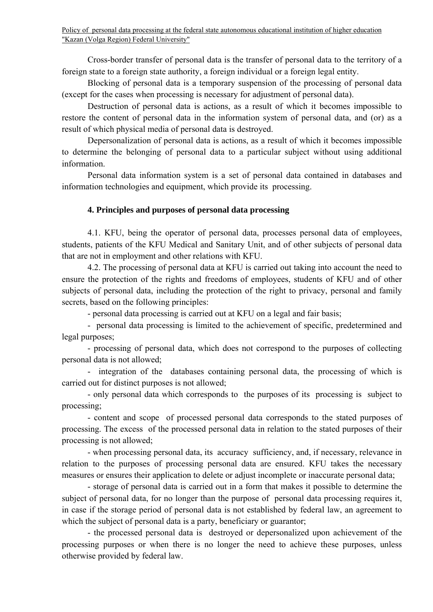Cross-border transfer of personal data is the transfer of personal data to the territory of a foreign state to a foreign state authority, a foreign individual or a foreign legal entity.

Blocking of personal data is a temporary suspension of the processing of personal data (except for the cases when processing is necessary for adjustment of personal data).

Destruction of personal data is actions, as a result of which it becomes impossible to restore the content of personal data in the information system of personal data, and (or) as a result of which physical media of personal data is destroyed.

Depersonalization of personal data is actions, as a result of which it becomes impossible to determine the belonging of personal data to a particular subject without using additional information.

Personal data information system is a set of personal data contained in databases and information technologies and equipment, which provide its processing.

#### **4. Principles and purposes of personal data processing**

4.1. KFU, being the operator of personal data, processes personal data of employees, students, patients of the KFU Medical and Sanitary Unit, and of other subjects of personal data that are not in employment and other relations with KFU.

4.2. The processing of personal data at KFU is carried out taking into account the need to ensure the protection of the rights and freedoms of employees, students of KFU and of other subjects of personal data, including the protection of the right to privacy, personal and family secrets, based on the following principles:

- personal data processing is carried out at KFU on a legal and fair basis;

- personal data processing is limited to the achievement of specific, predetermined and legal purposes;

- processing of personal data, which does not correspond to the purposes of collecting personal data is not allowed;

- integration of the databases containing personal data, the processing of which is carried out for distinct purposes is not allowed;

- only personal data which corresponds to the purposes of its processing is subject to processing;

- content and scope of processed personal data corresponds to the stated purposes of processing. The excess of the processed personal data in relation to the stated purposes of their processing is not allowed;

- when processing personal data, its accuracy sufficiency, and, if necessary, relevance in relation to the purposes of processing personal data are ensured. KFU takes the necessary measures or ensures their application to delete or adjust incomplete or inaccurate personal data;

- storage of personal data is carried out in a form that makes it possible to determine the subject of personal data, for no longer than the purpose of personal data processing requires it, in case if the storage period of personal data is not established by federal law, an agreement to which the subject of personal data is a party, beneficiary or guarantor;

- the processed personal data is destroyed or depersonalized upon achievement of the processing purposes or when there is no longer the need to achieve these purposes, unless otherwise provided by federal law.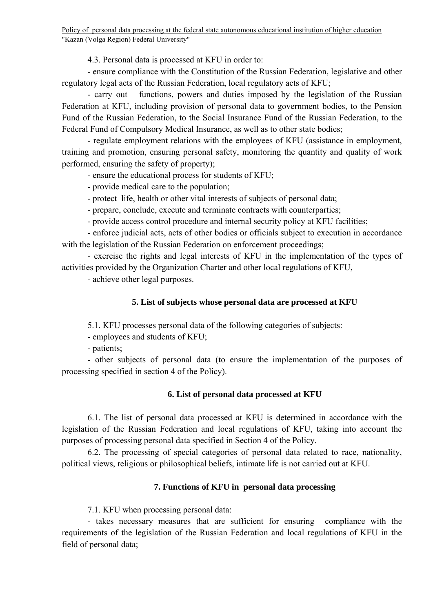4.3. Personal data is processed at KFU in order to:

- ensure compliance with the Constitution of the Russian Federation, legislative and other regulatory legal acts of the Russian Federation, local regulatory acts of KFU;

- carry out functions, powers and duties imposed by the legislation of the Russian Federation at KFU, including provision of personal data to government bodies, to the Pension Fund of the Russian Federation, to the Social Insurance Fund of the Russian Federation, to the Federal Fund of Compulsory Medical Insurance, as well as to other state bodies;

- regulate employment relations with the employees of KFU (assistance in employment, training and promotion, ensuring personal safety, monitoring the quantity and quality of work performed, ensuring the safety of property);

- ensure the educational process for students of KFU;

- provide medical care to the population;

- protect life, health or other vital interests of subjects of personal data;

- prepare, conclude, execute and terminate contracts with counterparties;

- provide access control procedure and internal security policy at KFU facilities;

- enforce judicial acts, acts of other bodies or officials subject to execution in accordance with the legislation of the Russian Federation on enforcement proceedings;

- exercise the rights and legal interests of KFU in the implementation of the types of activities provided by the Organization Charter and other local regulations of KFU,

- achieve other legal purposes.

## **5. List of subjects whose personal data are processed at KFU**

5.1. KFU processes personal data of the following categories of subjects:

- employees and students of KFU;

- patients;

- other subjects of personal data (to ensure the implementation of the purposes of processing specified in section 4 of the Policy).

## **6. List of personal data processed at KFU**

6.1. The list of personal data processed at KFU is determined in accordance with the legislation of the Russian Federation and local regulations of KFU, taking into account the purposes of processing personal data specified in Section 4 of the Policy.

6.2. The processing of special categories of personal data related to race, nationality, political views, religious or philosophical beliefs, intimate life is not carried out at KFU.

### **7. Functions of KFU in personal data processing**

7.1. KFU when processing personal data:

- takes necessary measures that are sufficient for ensuring compliance with the requirements of the legislation of the Russian Federation and local regulations of KFU in the field of personal data;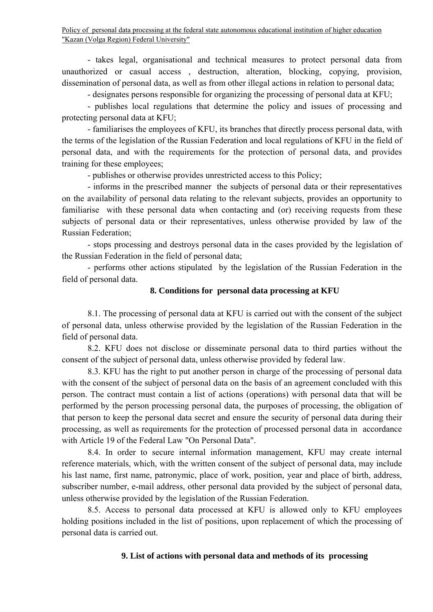- takes legal, organisational and technical measures to protect personal data from unauthorized or casual access , destruction, alteration, blocking, copying, provision, dissemination of personal data, as well as from other illegal actions in relation to personal data;

- designates persons responsible for organizing the processing of personal data at KFU;

- publishes local regulations that determine the policy and issues of processing and protecting personal data at KFU;

- familiarises the employees of KFU, its branches that directly process personal data, with the terms of the legislation of the Russian Federation and local regulations of KFU in the field of personal data, and with the requirements for the protection of personal data, and provides training for these employees;

- publishes or otherwise provides unrestricted access to this Policy;

- informs in the prescribed manner the subjects of personal data or their representatives on the availability of personal data relating to the relevant subjects, provides an opportunity to familiarise with these personal data when contacting and (or) receiving requests from these subjects of personal data or their representatives, unless otherwise provided by law of the Russian Federation;

- stops processing and destroys personal data in the cases provided by the legislation of the Russian Federation in the field of personal data;

- performs other actions stipulated by the legislation of the Russian Federation in the field of personal data.

### **8. Conditions for personal data processing at KFU**

8.1. The processing of personal data at KFU is carried out with the consent of the subject of personal data, unless otherwise provided by the legislation of the Russian Federation in the field of personal data.

8.2. KFU does not disclose or disseminate personal data to third parties without the consent of the subject of personal data, unless otherwise provided by federal law.

8.3. KFU has the right to put another person in charge of the processing of personal data with the consent of the subject of personal data on the basis of an agreement concluded with this person. The contract must contain a list of actions (operations) with personal data that will be performed by the person processing personal data, the purposes of processing, the obligation of that person to keep the personal data secret and ensure the security of personal data during their processing, as well as requirements for the protection of processed personal data in accordance with Article 19 of the Federal Law "On Personal Data".

8.4. In order to secure internal information management, KFU may create internal reference materials, which, with the written consent of the subject of personal data, may include his last name, first name, patronymic, place of work, position, year and place of birth, address, subscriber number, e-mail address, other personal data provided by the subject of personal data, unless otherwise provided by the legislation of the Russian Federation.

8.5. Access to personal data processed at KFU is allowed only to KFU employees holding positions included in the list of positions, upon replacement of which the processing of personal data is carried out.

## **9. List of actions with personal data and methods of its processing**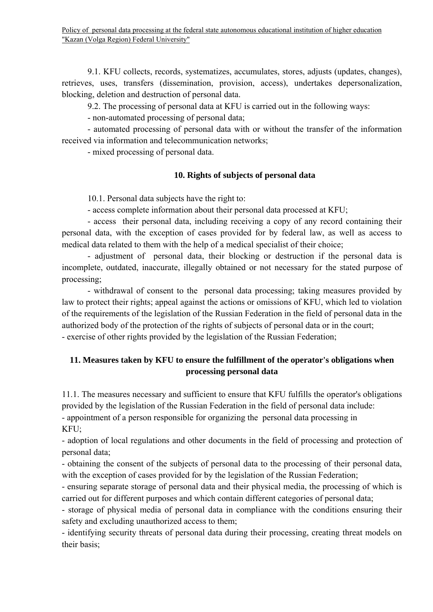9.1. KFU collects, records, systematizes, accumulates, stores, adjusts (updates, changes), retrieves, uses, transfers (dissemination, provision, access), undertakes depersonalization, blocking, deletion and destruction of personal data.

9.2. The processing of personal data at KFU is carried out in the following ways:

- non-automated processing of personal data;

- automated processing of personal data with or without the transfer of the information received via information and telecommunication networks;

- mixed processing of personal data.

## **10. Rights of subjects of personal data**

10.1. Personal data subjects have the right to:

- access complete information about their personal data processed at KFU;

- access their personal data, including receiving a copy of any record containing their personal data, with the exception of cases provided for by federal law, as well as access to medical data related to them with the help of a medical specialist of their choice;

- adjustment of personal data, their blocking or destruction if the personal data is incomplete, outdated, inaccurate, illegally obtained or not necessary for the stated purpose of processing;

- withdrawal of consent to the personal data processing; taking measures provided by law to protect their rights; appeal against the actions or omissions of KFU, which led to violation of the requirements of the legislation of the Russian Federation in the field of personal data in the authorized body of the protection of the rights of subjects of personal data or in the court; - exercise of other rights provided by the legislation of the Russian Federation;

# **11. Measures taken by KFU to ensure the fulfillment of the operator's obligations when processing personal data**

11.1. The measures necessary and sufficient to ensure that KFU fulfills the operator's obligations provided by the legislation of the Russian Federation in the field of personal data include: - appointment of a person responsible for organizing the personal data processing in KFU;

- adoption of local regulations and other documents in the field of processing and protection of personal data;

- obtaining the consent of the subjects of personal data to the processing of their personal data, with the exception of cases provided for by the legislation of the Russian Federation;

- ensuring separate storage of personal data and their physical media, the processing of which is carried out for different purposes and which contain different categories of personal data;

- storage of physical media of personal data in compliance with the conditions ensuring their safety and excluding unauthorized access to them;

- identifying security threats of personal data during their processing, creating threat models on their basis;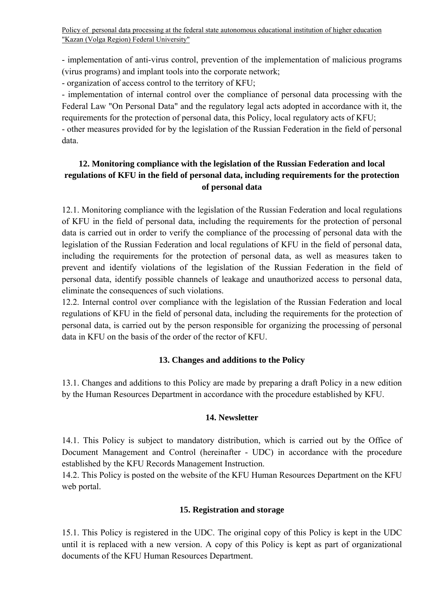- implementation of anti-virus control, prevention of the implementation of malicious programs (virus programs) and implant tools into the corporate network;

- organization of access control to the territory of KFU;

- implementation of internal control over the compliance of personal data processing with the Federal Law "On Personal Data" and the regulatory legal acts adopted in accordance with it, the requirements for the protection of personal data, this Policy, local regulatory acts of KFU;

- other measures provided for by the legislation of the Russian Federation in the field of personal data.

# **12. Monitoring compliance with the legislation of the Russian Federation and local regulations of KFU in the field of personal data, including requirements for the protection of personal data**

12.1. Monitoring compliance with the legislation of the Russian Federation and local regulations of KFU in the field of personal data, including the requirements for the protection of personal data is carried out in order to verify the compliance of the processing of personal data with the legislation of the Russian Federation and local regulations of KFU in the field of personal data, including the requirements for the protection of personal data, as well as measures taken to prevent and identify violations of the legislation of the Russian Federation in the field of personal data, identify possible channels of leakage and unauthorized access to personal data, eliminate the consequences of such violations.

12.2. Internal control over compliance with the legislation of the Russian Federation and local regulations of KFU in the field of personal data, including the requirements for the protection of personal data, is carried out by the person responsible for organizing the processing of personal data in KFU on the basis of the order of the rector of KFU.

## **13. Changes and additions to the Policy**

13.1. Changes and additions to this Policy are made by preparing a draft Policy in a new edition by the Human Resources Department in accordance with the procedure established by KFU.

### **14. Newsletter**

14.1. This Policy is subject to mandatory distribution, which is carried out by the Office of Document Management and Control (hereinafter - UDC) in accordance with the procedure established by the KFU Records Management Instruction.

14.2. This Policy is posted on the website of the KFU Human Resources Department on the KFU web portal.

### **15. Registration and storage**

15.1. This Policy is registered in the UDC. The original copy of this Policy is kept in the UDC until it is replaced with a new version. A copy of this Policy is kept as part of organizational documents of the KFU Human Resources Department.